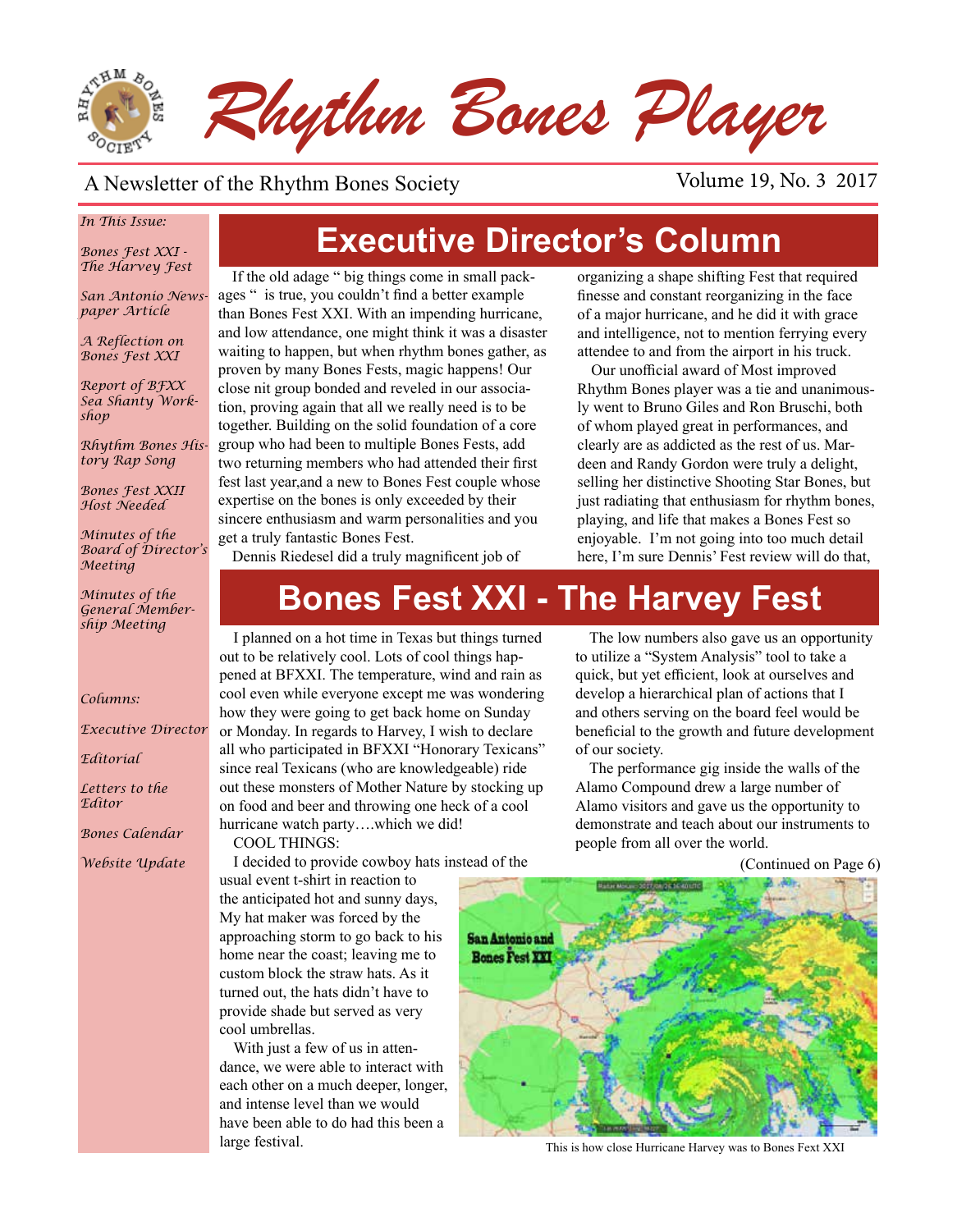

#### A Newsletter of the Rhythm Bones Society Volume 19, No. 3 2017

#### *In This Issue:*

*Bones Fest XXI - The Harvey Fest*

*San Antonio Newspaper Article*

*A Reflection on Bones Fest XXI* 

*Report of BFXX Sea Shanty Workshop*

*Rhythm Bones History Rap Song*

*Bones Fest XXII Host Needed*

*Minutes of the Board of Director's Meeting*

*Minutes of the General Membership Meeting*

#### *Columns:*

*Executive Director*

*Editorial*

*Letters to the Editor*

*Bones Calendar*

*Website Update*

# **Executive Director's Column**

If the old adage " big things come in small packages " is true, you couldn't find a better example than Bones Fest XXI. With an impending hurricane, and low attendance, one might think it was a disaster waiting to happen, but when rhythm bones gather, as proven by many Bones Fests, magic happens! Our close nit group bonded and reveled in our association, proving again that all we really need is to be together. Building on the solid foundation of a core group who had been to multiple Bones Fests, add two returning members who had attended their first fest last year,and a new to Bones Fest couple whose expertise on the bones is only exceeded by their sincere enthusiasm and warm personalities and you get a truly fantastic Bones Fest.

organizing a shape shifting Fest that required finesse and constant reorganizing in the face of a major hurricane, and he did it with grace and intelligence, not to mention ferrying every attendee to and from the airport in his truck.

Our unofficial award of Most improved Rhythm Bones player was a tie and unanimously went to Bruno Giles and Ron Bruschi, both of whom played great in performances, and clearly are as addicted as the rest of us. Mardeen and Randy Gordon were truly a delight, selling her distinctive Shooting Star Bones, but just radiating that enthusiasm for rhythm bones, playing, and life that makes a Bones Fest so enjoyable. I'm not going into too much detail here, I'm sure Dennis' Fest review will do that,

Dennis Riedesel did a truly magnificent job of

# **Bones Fest XXI - The Harvey Fest**

I planned on a hot time in Texas but things turned out to be relatively cool. Lots of cool things happened at BFXXI. The temperature, wind and rain as cool even while everyone except me was wondering how they were going to get back home on Sunday or Monday. In regards to Harvey, I wish to declare all who participated in BFXXI "Honorary Texicans" since real Texicans (who are knowledgeable) ride out these monsters of Mother Nature by stocking up on food and beer and throwing one heck of a cool hurricane watch party….which we did! COOL THINGS:

I decided to provide cowboy hats instead of the usual event t-shirt in reaction to the anticipated hot and sunny days, My hat maker was forced by the approaching storm to go back to his

home near the coast; leaving me to custom block the straw hats. As it turned out, the hats didn't have to provide shade but served as very cool umbrellas.

With just a few of us in attendance, we were able to interact with each other on a much deeper, longer, and intense level than we would have been able to do had this been a large festival.

The low numbers also gave us an opportunity to utilize a "System Analysis" tool to take a quick, but yet efficient, look at ourselves and develop a hierarchical plan of actions that I and others serving on the board feel would be beneficial to the growth and future development of our society.

The performance gig inside the walls of the Alamo Compound drew a large number of Alamo visitors and gave us the opportunity to demonstrate and teach about our instruments to people from all over the world.

(Continued on Page 6)



This is how close Hurricane Harvey was to Bones Fext XXI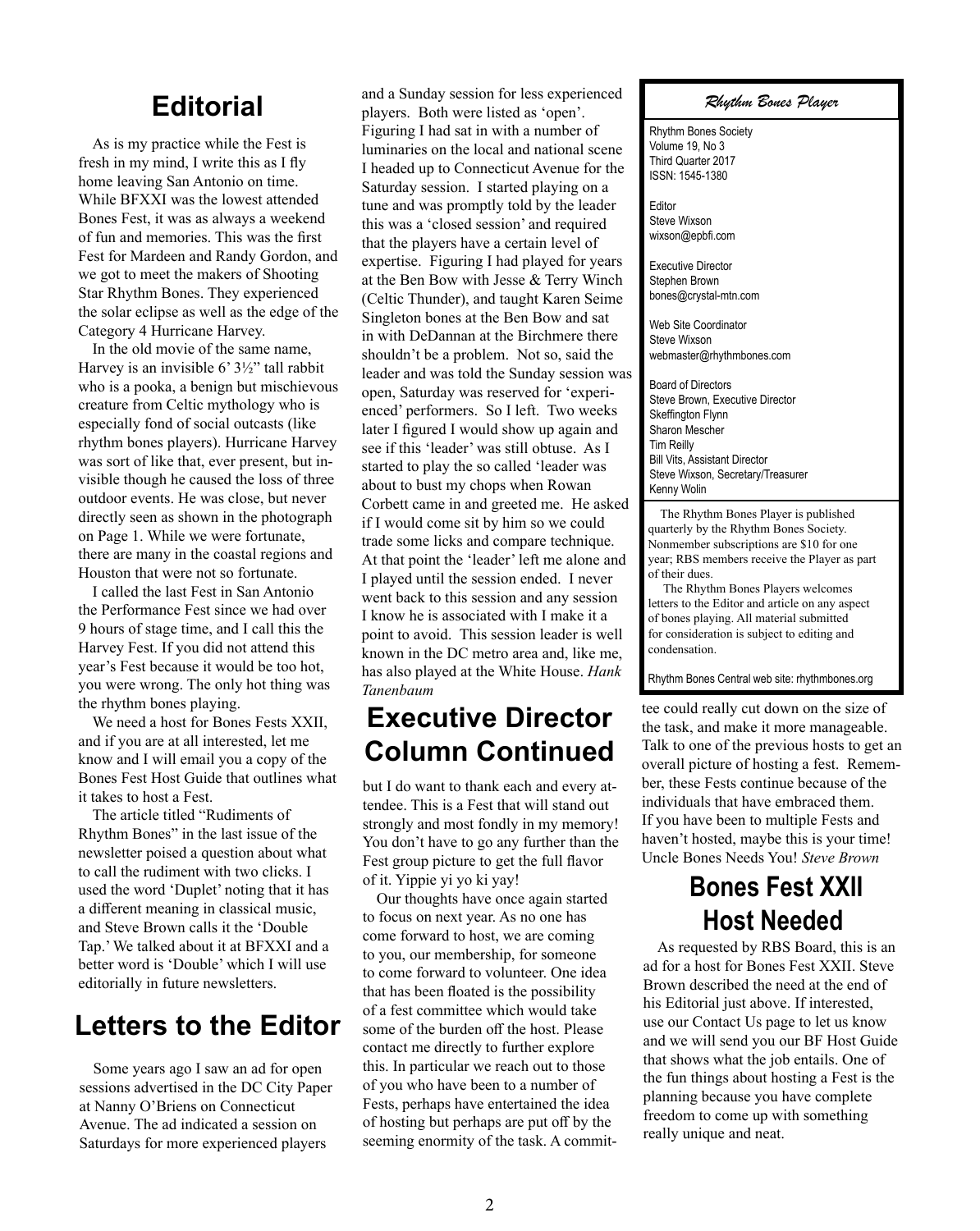#### **Editorial**

As is my practice while the Fest is fresh in my mind, I write this as I fly home leaving San Antonio on time. While BFXXI was the lowest attended Bones Fest, it was as always a weekend of fun and memories. This was the first Fest for Mardeen and Randy Gordon, and we got to meet the makers of Shooting Star Rhythm Bones. They experienced the solar eclipse as well as the edge of the Category 4 Hurricane Harvey.

In the old movie of the same name, Harvey is an invisible 6' 3½" tall rabbit who is a pooka, a benign but mischievous creature from Celtic mythology who is especially fond of social outcasts (like rhythm bones players). Hurricane Harvey was sort of like that, ever present, but invisible though he caused the loss of three outdoor events. He was close, but never directly seen as shown in the photograph on Page 1. While we were fortunate, there are many in the coastal regions and Houston that were not so fortunate.

I called the last Fest in San Antonio the Performance Fest since we had over 9 hours of stage time, and I call this the Harvey Fest. If you did not attend this year's Fest because it would be too hot, you were wrong. The only hot thing was the rhythm bones playing.

We need a host for Bones Fests XXII, and if you are at all interested, let me know and I will email you a copy of the Bones Fest Host Guide that outlines what it takes to host a Fest.

The article titled "Rudiments of Rhythm Bones" in the last issue of the newsletter poised a question about what to call the rudiment with two clicks. I used the word 'Duplet' noting that it has a different meaning in classical music, and Steve Brown calls it the 'Double Tap.' We talked about it at BFXXI and a better word is 'Double' which I will use editorially in future newsletters.

#### **Letters to the Editor**

Some years ago I saw an ad for open sessions advertised in the DC City Paper at Nanny O'Briens on Connecticut Avenue. The ad indicated a session on Saturdays for more experienced players

and a Sunday session for less experienced players. Both were listed as 'open'. Figuring I had sat in with a number of luminaries on the local and national scene I headed up to Connecticut Avenue for the Saturday session. I started playing on a tune and was promptly told by the leader this was a 'closed session' and required that the players have a certain level of expertise. Figuring I had played for years at the Ben Bow with Jesse & Terry Winch (Celtic Thunder), and taught Karen Seime Singleton bones at the Ben Bow and sat in with DeDannan at the Birchmere there shouldn't be a problem. Not so, said the leader and was told the Sunday session was open, Saturday was reserved for 'experienced' performers. So I left. Two weeks later I figured I would show up again and see if this 'leader' was still obtuse. As I started to play the so called 'leader was about to bust my chops when Rowan Corbett came in and greeted me. He asked if I would come sit by him so we could trade some licks and compare technique. At that point the 'leader' left me alone and I played until the session ended. I never went back to this session and any session I know he is associated with I make it a point to avoid. This session leader is well known in the DC metro area and, like me, has also played at the White House. *Hank Tanenbaum*

### **Executive Director Column Continued**

but I do want to thank each and every attendee. This is a Fest that will stand out strongly and most fondly in my memory! You don't have to go any further than the Fest group picture to get the full flavor of it. Yippie yi yo ki yay!

Our thoughts have once again started to focus on next year. As no one has come forward to host, we are coming to you, our membership, for someone to come forward to volunteer. One idea that has been floated is the possibility of a fest committee which would take some of the burden off the host. Please contact me directly to further explore this. In particular we reach out to those of you who have been to a number of Fests, perhaps have entertained the idea of hosting but perhaps are put off by the seeming enormity of the task. A commit*Rhythm Bones Player*

Rhythm Bones Society Volume 19, No 3 Third Quarter 2017 ISSN: 1545-1380

Editor Steve Wixson wixson@epbfi.com

Executive Director Stephen Brown bones@crystal-mtn.com

Web Site Coordinator Steve Wixson webmaster@rhythmbones.com

Board of Directors Steve Brown, Executive Director Skeffington Flynn Sharon Mescher Tim Reilly Bill Vits, Assistant Director Steve Wixson, Secretary/Treasurer Kenny Wolin

 The Rhythm Bones Player is published quarterly by the Rhythm Bones Society. Nonmember subscriptions are \$10 for one year; RBS members receive the Player as part of their dues.

 The Rhythm Bones Players welcomes letters to the Editor and article on any aspect of bones playing. All material submitted for consideration is subject to editing and condensation.

Rhythm Bones Central web site: rhythmbones.org

tee could really cut down on the size of the task, and make it more manageable. Talk to one of the previous hosts to get an overall picture of hosting a fest. Remember, these Fests continue because of the individuals that have embraced them. If you have been to multiple Fests and haven't hosted, maybe this is your time! Uncle Bones Needs You! *Steve Brown*

### **Bones Fest XXII Host Needed**

As requested by RBS Board, this is an ad for a host for Bones Fest XXII. Steve Brown described the need at the end of his Editorial just above. If interested, use our Contact Us page to let us know and we will send you our BF Host Guide that shows what the job entails. One of the fun things about hosting a Fest is the planning because you have complete freedom to come up with something really unique and neat.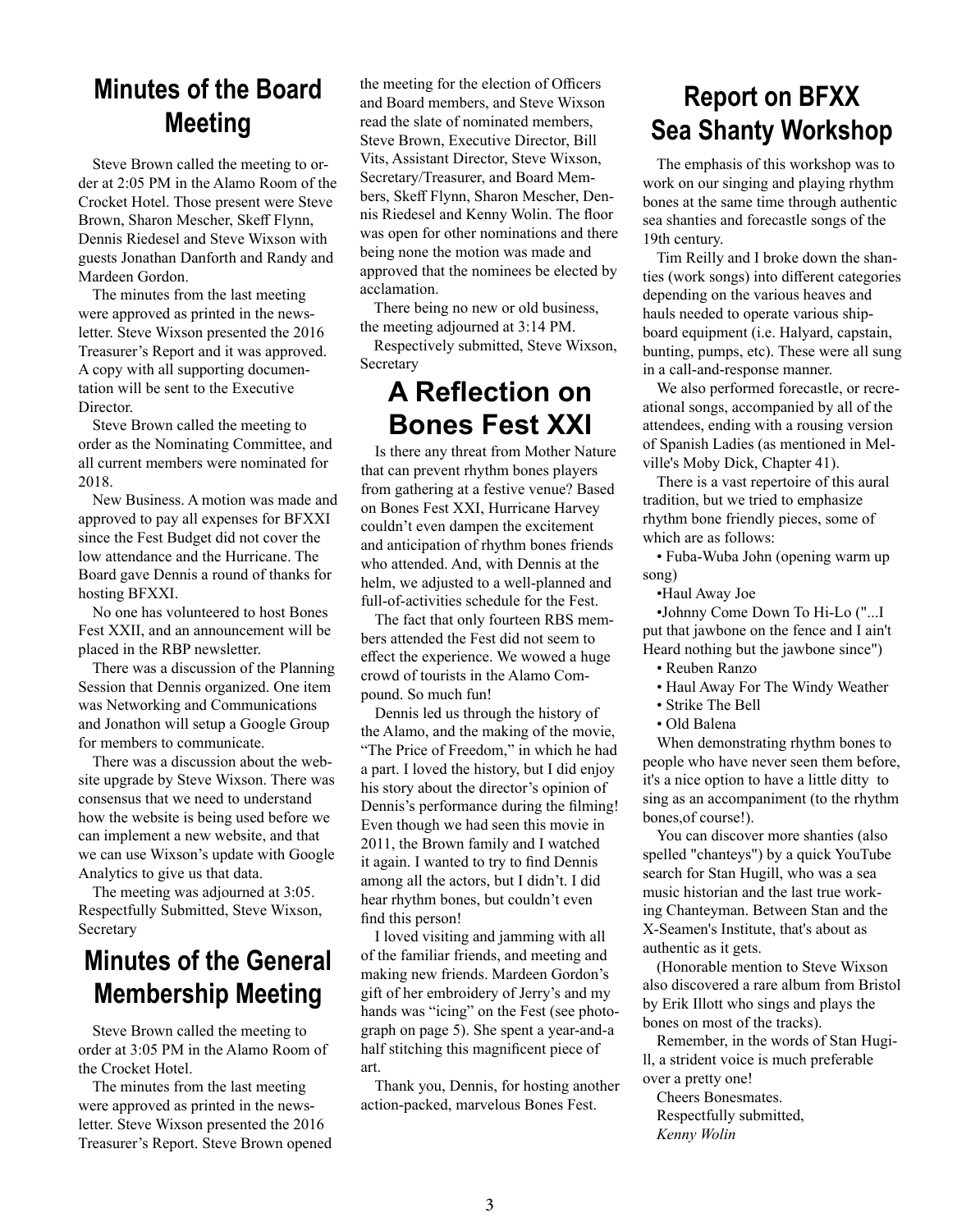## **Minutes of the Board Meeting**

Steve Brown called the meeting to order at 2:05 PM in the Alamo Room of the Crocket Hotel. Those present were Steve Brown, Sharon Mescher, Skeff Flynn, Dennis Riedesel and Steve Wixson with guests Jonathan Danforth and Randy and Mardeen Gordon.

The minutes from the last meeting were approved as printed in the newsletter. Steve Wixson presented the 2016 Treasurer's Report and it was approved. A copy with all supporting documentation will be sent to the Executive Director.

Steve Brown called the meeting to order as the Nominating Committee, and all current members were nominated for 2018.

New Business. A motion was made and approved to pay all expenses for BFXXI since the Fest Budget did not cover the low attendance and the Hurricane. The Board gave Dennis a round of thanks for hosting BFXXI.

No one has volunteered to host Bones Fest XXII, and an announcement will be placed in the RBP newsletter.

There was a discussion of the Planning Session that Dennis organized. One item was Networking and Communications and Jonathon will setup a Google Group for members to communicate.

There was a discussion about the website upgrade by Steve Wixson. There was consensus that we need to understand how the website is being used before we can implement a new website, and that we can use Wixson's update with Google Analytics to give us that data.

The meeting was adjourned at 3:05. Respectfully Submitted, Steve Wixson, Secretary

### **Minutes of the General Membership Meeting**

Steve Brown called the meeting to order at 3:05 PM in the Alamo Room of the Crocket Hotel.

The minutes from the last meeting were approved as printed in the newsletter. Steve Wixson presented the 2016 Treasurer's Report. Steve Brown opened the meeting for the election of Officers and Board members, and Steve Wixson read the slate of nominated members, Steve Brown, Executive Director, Bill Vits, Assistant Director, Steve Wixson, Secretary/Treasurer, and Board Members, Skeff Flynn, Sharon Mescher, Dennis Riedesel and Kenny Wolin. The floor was open for other nominations and there being none the motion was made and approved that the nominees be elected by acclamation.

There being no new or old business, the meeting adjourned at 3:14 PM.

Respectively submitted, Steve Wixson, Secretary

#### **A Reflection on Bones Fest XXI**

Is there any threat from Mother Nature that can prevent rhythm bones players from gathering at a festive venue? Based on Bones Fest XXI, Hurricane Harvey couldn't even dampen the excitement and anticipation of rhythm bones friends who attended. And, with Dennis at the helm, we adjusted to a well-planned and full-of-activities schedule for the Fest.

The fact that only fourteen RBS members attended the Fest did not seem to effect the experience. We wowed a huge crowd of tourists in the Alamo Compound. So much fun!

Dennis led us through the history of the Alamo, and the making of the movie, "The Price of Freedom," in which he had a part. I loved the history, but I did enjoy his story about the director's opinion of Dennis's performance during the filming! Even though we had seen this movie in 2011, the Brown family and I watched it again. I wanted to try to find Dennis among all the actors, but I didn't. I did hear rhythm bones, but couldn't even find this person!

I loved visiting and jamming with all of the familiar friends, and meeting and making new friends. Mardeen Gordon's gift of her embroidery of Jerry's and my hands was "icing" on the Fest (see photograph on page 5). She spent a year-and-a half stitching this magnificent piece of art.

Thank you, Dennis, for hosting another action-packed, marvelous Bones Fest.

## **Report on BFXX Sea Shanty Workshop**

The emphasis of this workshop was to work on our singing and playing rhythm bones at the same time through authentic sea shanties and forecastle songs of the 19th century.

Tim Reilly and I broke down the shanties (work songs) into different categories depending on the various heaves and hauls needed to operate various shipboard equipment (i.e. Halyard, capstain, bunting, pumps, etc). These were all sung in a call-and-response manner.

We also performed forecastle, or recreational songs, accompanied by all of the attendees, ending with a rousing version of Spanish Ladies (as mentioned in Melville's Moby Dick, Chapter 41).

There is a vast repertoire of this aural tradition, but we tried to emphasize rhythm bone friendly pieces, some of which are as follows:

• Fuba-Wuba John (opening warm up song)

•Haul Away Joe

•Johnny Come Down To Hi-Lo ("...I put that jawbone on the fence and I ain't Heard nothing but the jawbone since")

- Reuben Ranzo
- Haul Away For The Windy Weather
- Strike The Bell
- Old Balena

When demonstrating rhythm bones to people who have never seen them before, it's a nice option to have a little ditty to sing as an accompaniment (to the rhythm bones,of course!).

You can discover more shanties (also spelled "chanteys") by a quick YouTube search for Stan Hugill, who was a sea music historian and the last true working Chanteyman. Between Stan and the X-Seamen's Institute, that's about as authentic as it gets.

(Honorable mention to Steve Wixson also discovered a rare album from Bristol by Erik Illott who sings and plays the bones on most of the tracks).

Remember, in the words of Stan Hugill, a strident voice is much preferable over a pretty one!

Cheers Bonesmates. Respectfully submitted, *Kenny Wolin*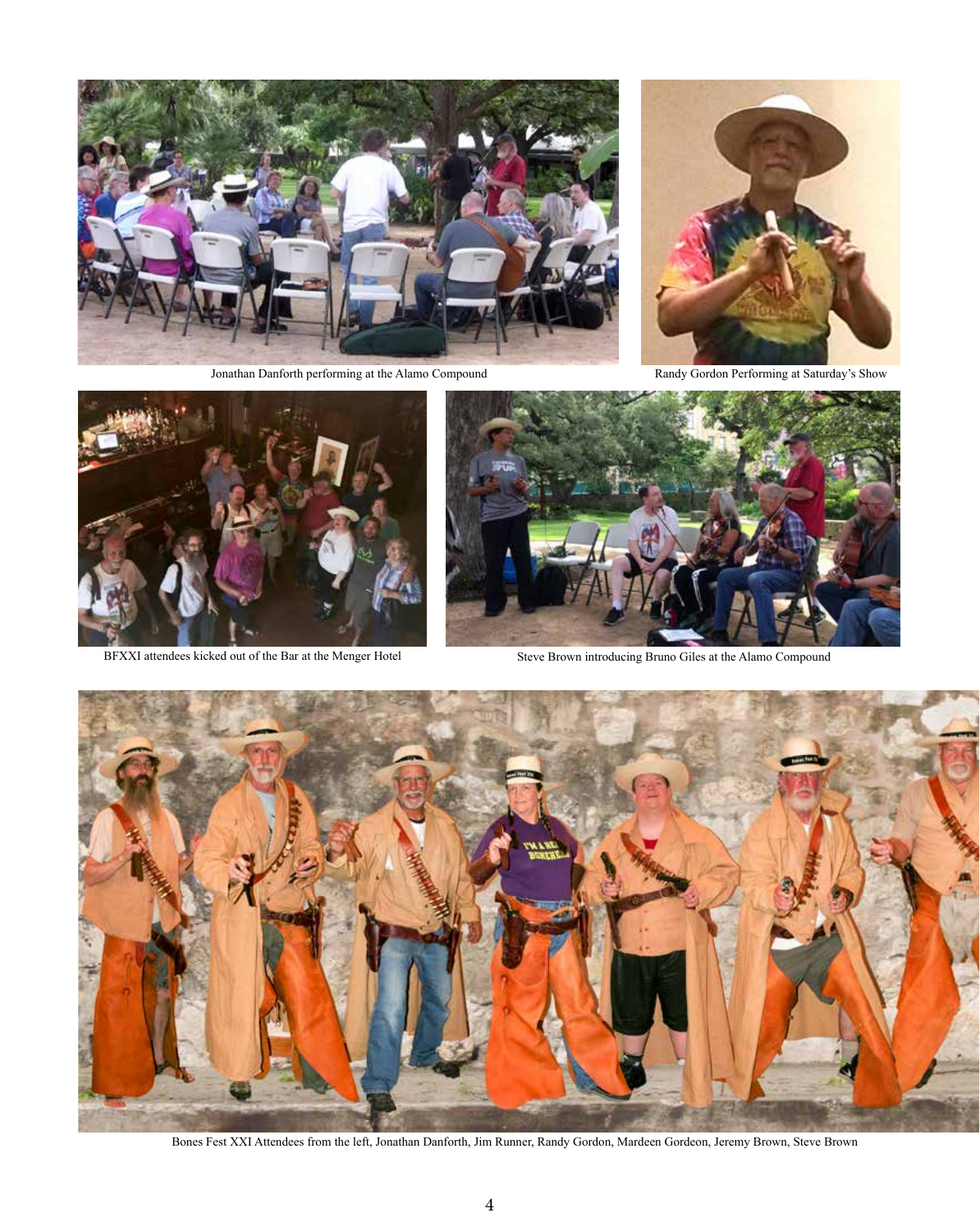

Jonathan Danforth performing at the Alamo Compound Randy Gordon Performing at Saturday's Show





BFXXI attendees kicked out of the Bar at the Menger Hotel Steve Brown introducing Bruno Giles at the Alamo Compound





Bones Fest XXI Attendees from the left, Jonathan Danforth, Jim Runner, Randy Gordon, Mardeen Gordeon, Jeremy Brown, Steve Brown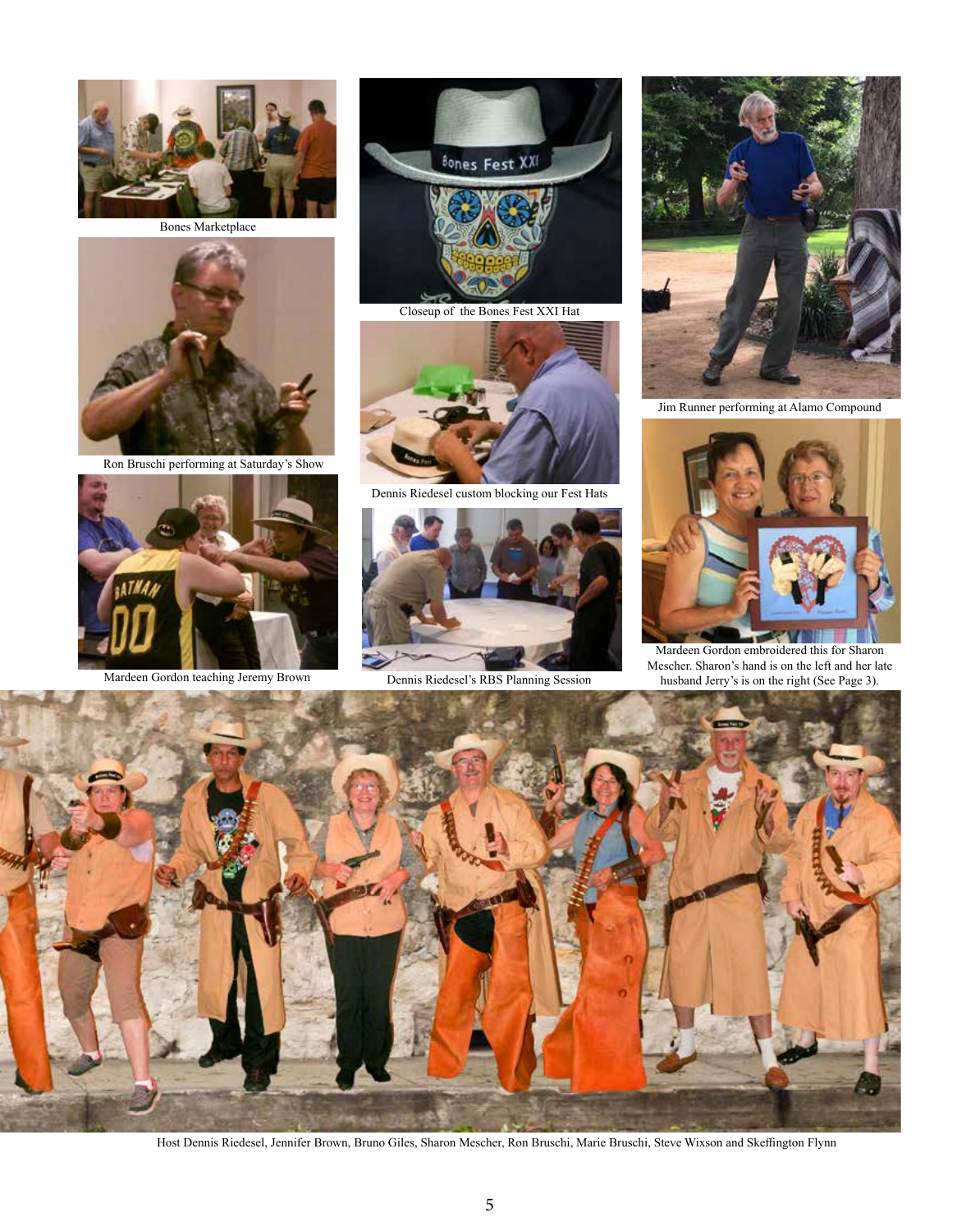

Bones Marketplace



Ron Bruschi performing at Saturday's Show





Closeup of the Bones Fest XXI Hat



Dennis Riedesel custom blocking our Fest Hats



Mardeen Gordon teaching Jeremy Brown Dennis Riedesel's RBS Planning Session



Jim Runner performing at Alamo Compound



Mardeen Gordon embroidered this for Sharon Mescher. Sharon's hand is on the left and her late husband Jerry's is on the right (See Page 3).



Host Dennis Riedesel, Jennifer Brown, Bruno Giles, Sharon Mescher, Ron Bruschi, Marie Bruschi, Steve Wixson and Skeffington Flynn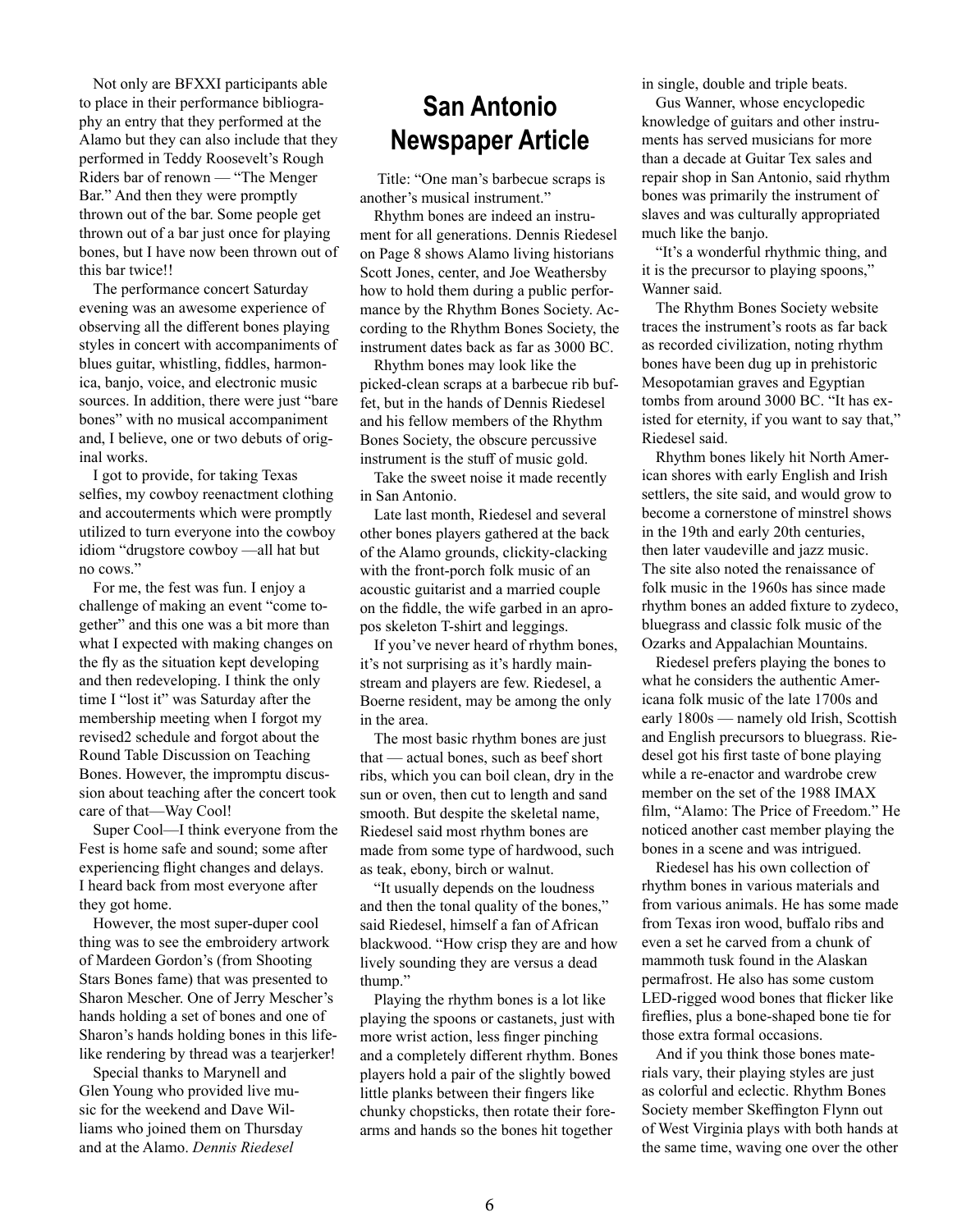Not only are BFXXI participants able to place in their performance bibliography an entry that they performed at the Alamo but they can also include that they performed in Teddy Roosevelt's Rough Riders bar of renown — "The Menger Bar." And then they were promptly thrown out of the bar. Some people get thrown out of a bar just once for playing bones, but I have now been thrown out of this bar twice!!

The performance concert Saturday evening was an awesome experience of observing all the different bones playing styles in concert with accompaniments of blues guitar, whistling, fiddles, harmonica, banjo, voice, and electronic music sources. In addition, there were just "bare bones" with no musical accompaniment and, I believe, one or two debuts of original works.

I got to provide, for taking Texas selfies, my cowboy reenactment clothing and accouterments which were promptly utilized to turn everyone into the cowboy idiom "drugstore cowboy —all hat but no cows."

For me, the fest was fun. I enjoy a challenge of making an event "come together" and this one was a bit more than what I expected with making changes on the fly as the situation kept developing and then redeveloping. I think the only time I "lost it" was Saturday after the membership meeting when I forgot my revised2 schedule and forgot about the Round Table Discussion on Teaching Bones. However, the impromptu discussion about teaching after the concert took care of that—Way Cool!

Super Cool—I think everyone from the Fest is home safe and sound; some after experiencing flight changes and delays. I heard back from most everyone after they got home.

However, the most super-duper cool thing was to see the embroidery artwork of Mardeen Gordon's (from Shooting Stars Bones fame) that was presented to Sharon Mescher. One of Jerry Mescher's hands holding a set of bones and one of Sharon's hands holding bones in this lifelike rendering by thread was a tearjerker!

Special thanks to Marynell and Glen Young who provided live music for the weekend and Dave Williams who joined them on Thursday and at the Alamo. *Dennis Riedesel*

#### **San Antonio Newspaper Article**

 Title: "One man's barbecue scraps is another's musical instrument."

Rhythm bones are indeed an instrument for all generations. Dennis Riedesel on Page 8 shows Alamo living historians Scott Jones, center, and Joe Weathersby how to hold them during a public performance by the Rhythm Bones Society. According to the Rhythm Bones Society, the instrument dates back as far as 3000 BC.

Rhythm bones may look like the picked-clean scraps at a barbecue rib buffet, but in the hands of Dennis Riedesel and his fellow members of the Rhythm Bones Society, the obscure percussive instrument is the stuff of music gold.

Take the sweet noise it made recently in San Antonio.

Late last month, Riedesel and several other bones players gathered at the back of the Alamo grounds, clickity-clacking with the front-porch folk music of an acoustic guitarist and a married couple on the fiddle, the wife garbed in an apropos skeleton T-shirt and leggings.

If you've never heard of rhythm bones, it's not surprising as it's hardly mainstream and players are few. Riedesel, a Boerne resident, may be among the only in the area.

The most basic rhythm bones are just that — actual bones, such as beef short ribs, which you can boil clean, dry in the sun or oven, then cut to length and sand smooth. But despite the skeletal name, Riedesel said most rhythm bones are made from some type of hardwood, such as teak, ebony, birch or walnut.

"It usually depends on the loudness and then the tonal quality of the bones," said Riedesel, himself a fan of African blackwood. "How crisp they are and how lively sounding they are versus a dead thump."

Playing the rhythm bones is a lot like playing the spoons or castanets, just with more wrist action, less finger pinching and a completely different rhythm. Bones players hold a pair of the slightly bowed little planks between their fingers like chunky chopsticks, then rotate their forearms and hands so the bones hit together

in single, double and triple beats.

Gus Wanner, whose encyclopedic knowledge of guitars and other instruments has served musicians for more than a decade at Guitar Tex sales and repair shop in San Antonio, said rhythm bones was primarily the instrument of slaves and was culturally appropriated much like the banjo.

"It's a wonderful rhythmic thing, and it is the precursor to playing spoons," Wanner said.

The Rhythm Bones Society website traces the instrument's roots as far back as recorded civilization, noting rhythm bones have been dug up in prehistoric Mesopotamian graves and Egyptian tombs from around 3000 BC. "It has existed for eternity, if you want to say that," Riedesel said.

Rhythm bones likely hit North American shores with early English and Irish settlers, the site said, and would grow to become a cornerstone of minstrel shows in the 19th and early 20th centuries, then later vaudeville and jazz music. The site also noted the renaissance of folk music in the 1960s has since made rhythm bones an added fixture to zydeco, bluegrass and classic folk music of the Ozarks and Appalachian Mountains.

Riedesel prefers playing the bones to what he considers the authentic Americana folk music of the late 1700s and early 1800s — namely old Irish, Scottish and English precursors to bluegrass. Riedesel got his first taste of bone playing while a re-enactor and wardrobe crew member on the set of the 1988 IMAX film, "Alamo: The Price of Freedom." He noticed another cast member playing the bones in a scene and was intrigued.

Riedesel has his own collection of rhythm bones in various materials and from various animals. He has some made from Texas iron wood, buffalo ribs and even a set he carved from a chunk of mammoth tusk found in the Alaskan permafrost. He also has some custom LED-rigged wood bones that flicker like fireflies, plus a bone-shaped bone tie for those extra formal occasions.

And if you think those bones materials vary, their playing styles are just as colorful and eclectic. Rhythm Bones Society member Skeffington Flynn out of West Virginia plays with both hands at the same time, waving one over the other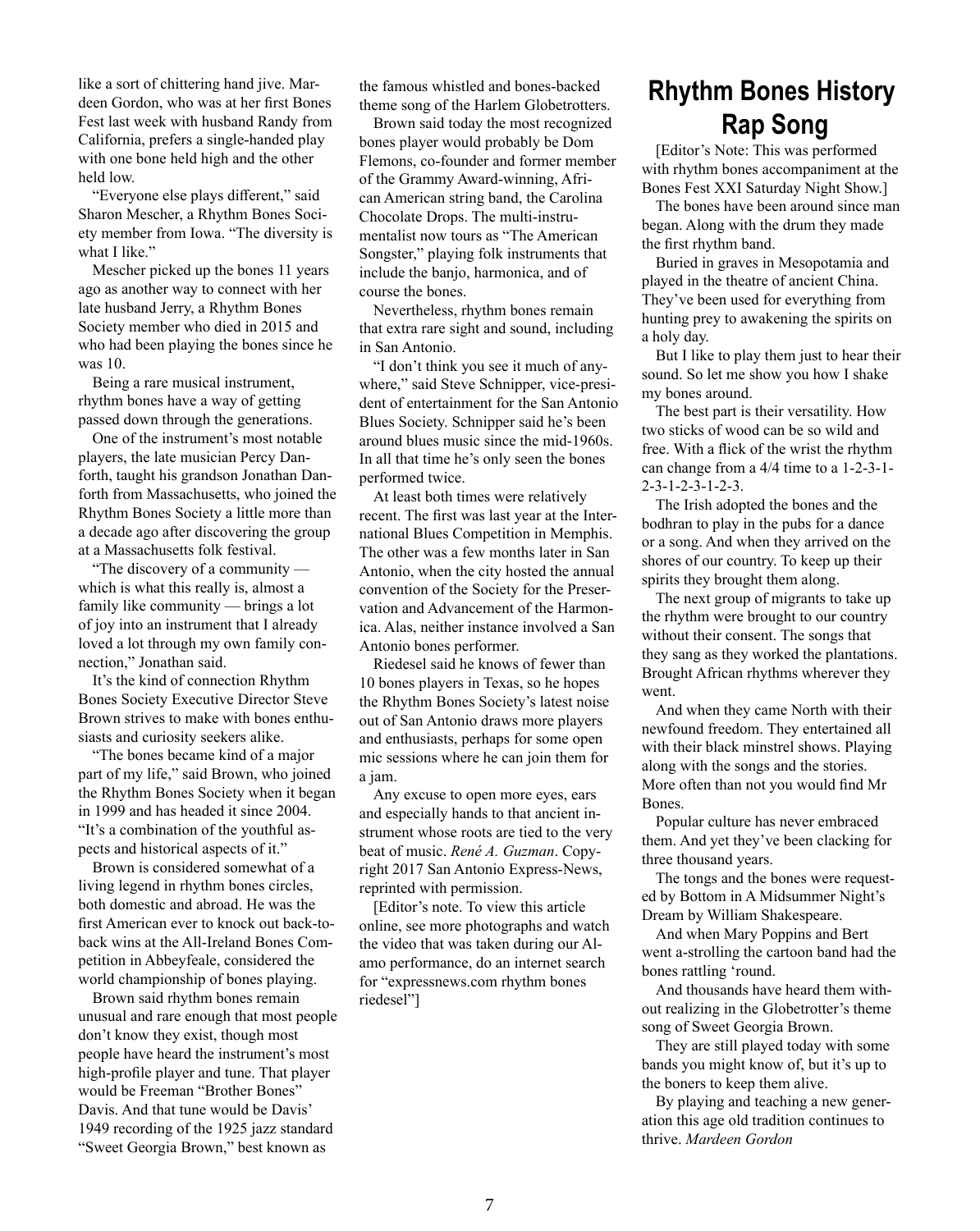like a sort of chittering hand jive. Mardeen Gordon, who was at her first Bones Fest last week with husband Randy from California, prefers a single-handed play with one bone held high and the other held low.

"Everyone else plays different," said Sharon Mescher, a Rhythm Bones Society member from Iowa. "The diversity is what I like."

Mescher picked up the bones 11 years ago as another way to connect with her late husband Jerry, a Rhythm Bones Society member who died in 2015 and who had been playing the bones since he was 10.

Being a rare musical instrument, rhythm bones have a way of getting passed down through the generations.

One of the instrument's most notable players, the late musician Percy Danforth, taught his grandson Jonathan Danforth from Massachusetts, who joined the Rhythm Bones Society a little more than a decade ago after discovering the group at a Massachusetts folk festival.

"The discovery of a community which is what this really is, almost a family like community — brings a lot of joy into an instrument that I already loved a lot through my own family connection," Jonathan said.

It's the kind of connection Rhythm Bones Society Executive Director Steve Brown strives to make with bones enthusiasts and curiosity seekers alike.

"The bones became kind of a major part of my life," said Brown, who joined the Rhythm Bones Society when it began in 1999 and has headed it since 2004. "It's a combination of the youthful aspects and historical aspects of it."

Brown is considered somewhat of a living legend in rhythm bones circles, both domestic and abroad. He was the first American ever to knock out back-toback wins at the All-Ireland Bones Competition in Abbeyfeale, considered the world championship of bones playing.

Brown said rhythm bones remain unusual and rare enough that most people don't know they exist, though most people have heard the instrument's most high-profile player and tune. That player would be Freeman "Brother Bones" Davis. And that tune would be Davis' 1949 recording of the 1925 jazz standard "Sweet Georgia Brown," best known as

the famous whistled and bones-backed theme song of the Harlem Globetrotters.

Brown said today the most recognized bones player would probably be Dom Flemons, co-founder and former member of the Grammy Award-winning, African American string band, the Carolina Chocolate Drops. The multi-instrumentalist now tours as "The American Songster," playing folk instruments that include the banjo, harmonica, and of course the bones.

Nevertheless, rhythm bones remain that extra rare sight and sound, including in San Antonio.

"I don't think you see it much of anywhere," said Steve Schnipper, vice-president of entertainment for the San Antonio Blues Society. Schnipper said he's been around blues music since the mid-1960s. In all that time he's only seen the bones performed twice.

At least both times were relatively recent. The first was last year at the International Blues Competition in Memphis. The other was a few months later in San Antonio, when the city hosted the annual convention of the Society for the Preservation and Advancement of the Harmonica. Alas, neither instance involved a San Antonio bones performer.

Riedesel said he knows of fewer than 10 bones players in Texas, so he hopes the Rhythm Bones Society's latest noise out of San Antonio draws more players and enthusiasts, perhaps for some open mic sessions where he can join them for a jam.

Any excuse to open more eyes, ears and especially hands to that ancient instrument whose roots are tied to the very beat of music. *René A. Guzman*. Copyright 2017 San Antonio Express-News, reprinted with permission.

[Editor's note. To view this article online, see more photographs and watch the video that was taken during our Alamo performance, do an internet search for "expressnews.com rhythm bones riedesel"]

### **Rhythm Bones History Rap Song**

[Editor's Note: This was performed with rhythm bones accompaniment at the Bones Fest XXI Saturday Night Show.]

The bones have been around since man began. Along with the drum they made the first rhythm band.

Buried in graves in Mesopotamia and played in the theatre of ancient China. They've been used for everything from hunting prey to awakening the spirits on a holy day.

But I like to play them just to hear their sound. So let me show you how I shake my bones around.

The best part is their versatility. How two sticks of wood can be so wild and free. With a flick of the wrist the rhythm can change from a 4/4 time to a 1-2-3-1- 2-3-1-2-3-1-2-3.

The Irish adopted the bones and the bodhran to play in the pubs for a dance or a song. And when they arrived on the shores of our country. To keep up their spirits they brought them along.

The next group of migrants to take up the rhythm were brought to our country without their consent. The songs that they sang as they worked the plantations. Brought African rhythms wherever they went.

And when they came North with their newfound freedom. They entertained all with their black minstrel shows. Playing along with the songs and the stories. More often than not you would find Mr Bones.

Popular culture has never embraced them. And yet they've been clacking for three thousand years.

The tongs and the bones were requested by Bottom in A Midsummer Night's Dream by William Shakespeare.

And when Mary Poppins and Bert went a-strolling the cartoon band had the bones rattling 'round.

And thousands have heard them without realizing in the Globetrotter's theme song of Sweet Georgia Brown.

They are still played today with some bands you might know of, but it's up to the boners to keep them alive.

By playing and teaching a new generation this age old tradition continues to thrive. *Mardeen Gordon*